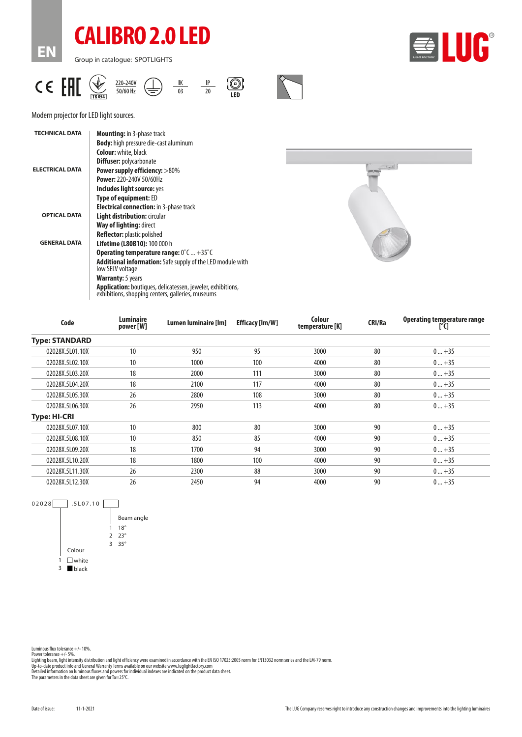

**EN**

Group in catalogue: SPOTLIGHTS



| AT<br>20-240V<br>$\mathsf{\mathcal{C}}$ (<br>ы<br><sup>፣</sup> ባ/60 Hz<br><b>TR 054 L</b> |
|-------------------------------------------------------------------------------------------|
|-------------------------------------------------------------------------------------------|



| <b>TECHNICAL DATA</b>  | <b>Mounting:</b> in 3-phase track                                                                                       |  |  |  |  |
|------------------------|-------------------------------------------------------------------------------------------------------------------------|--|--|--|--|
|                        | <b>Body:</b> high pressure die-cast aluminum                                                                            |  |  |  |  |
|                        | <b>Colour:</b> white, black                                                                                             |  |  |  |  |
|                        | <b>Diffuser: polycarbonate</b>                                                                                          |  |  |  |  |
| <b>ELECTRICAL DATA</b> | <b>Power supply efficiency: &gt;80%</b>                                                                                 |  |  |  |  |
|                        | Power: 220-240V 50/60Hz                                                                                                 |  |  |  |  |
|                        | Includes light source: yes                                                                                              |  |  |  |  |
|                        | <b>Type of equipment: ED</b>                                                                                            |  |  |  |  |
|                        | <b>Electrical connection:</b> in 3-phase track                                                                          |  |  |  |  |
| <b>OPTICAL DATA</b>    | Light distribution: circular                                                                                            |  |  |  |  |
|                        | Way of lighting: direct                                                                                                 |  |  |  |  |
|                        | <b>Reflector:</b> plastic polished                                                                                      |  |  |  |  |
| <b>GENERAL DATA</b>    | <b>Lifetime (L80B10): 100 000 h</b>                                                                                     |  |  |  |  |
|                        | <b>Operating temperature range:</b> $0^{\circ}$ C  +35 $^{\circ}$ C                                                     |  |  |  |  |
|                        | <b>Additional information:</b> Safe supply of the LED module with<br>low SELV voltage                                   |  |  |  |  |
|                        | <b>Warranty:</b> 5 years                                                                                                |  |  |  |  |
|                        | <b>Application:</b> boutiques, delicatessen, jeweler, exhibitions,<br>exhibitions, shopping centers, galleries, museums |  |  |  |  |



| Code                  | Luminaire<br>power [W] | Lumen luminaire [lm] | <b>Efficacy [Im/W]</b> | Colour<br>temperature [K] | CRI/Ra | <b>Operating temperature range</b><br>[°C] |
|-----------------------|------------------------|----------------------|------------------------|---------------------------|--------|--------------------------------------------|
| <b>Type: STANDARD</b> |                        |                      |                        |                           |        |                                            |
| 02028X.5L01.10X       | 10                     | 950                  | 95                     | 3000                      | 80     | $0+35$                                     |
| 02028X.5L02.10X       | 10                     | 1000                 | 100                    | 4000                      | 80     | $0+35$                                     |
| 02028X.5L03.20X       | 18                     | 2000                 | 111                    | 3000                      | 80     | $0+35$                                     |
| 02028X.5L04.20X       | 18                     | 2100                 | 117                    | 4000                      | 80     | $0+35$                                     |
| 02028X.5L05.30X       | 26                     | 2800                 | 108                    | 3000                      | 80     | $0+35$                                     |
| 02028X.5L06.30X       | 26                     | 2950                 | 113                    | 4000                      | 80     | $0+35$                                     |
| <b>Type: HI-CRI</b>   |                        |                      |                        |                           |        |                                            |
| 02028X.5L07.10X       | 10                     | 800                  | 80                     | 3000                      | 90     | $0+35$                                     |
| 02028X.5L08.10X       | 10                     | 850                  | 85                     | 4000                      | 90     | $0+35$                                     |
| 02028X.5L09.20X       | 18                     | 1700                 | 94                     | 3000                      | 90     | $0+35$                                     |
| 02028X.5L10.20X       | 18                     | 1800                 | 100                    | 4000                      | 90     | $0+35$                                     |
| 02028X.5L11.30X       | 26                     | 2300                 | 88                     | 3000                      | 90     | $0+35$                                     |
| 02028X.5L12.30X       | 26                     | 2450                 | 94                     | 4000                      | 90     | $0+35$                                     |



Power tolerance +/- 5%.<br>Lighting beam, light intensity distribution and light efficiency were examined in accordance with the EN ISO 17025:2005 norm for EN13032 norm series and the LM-79 norm.<br>Up-to-date product info and G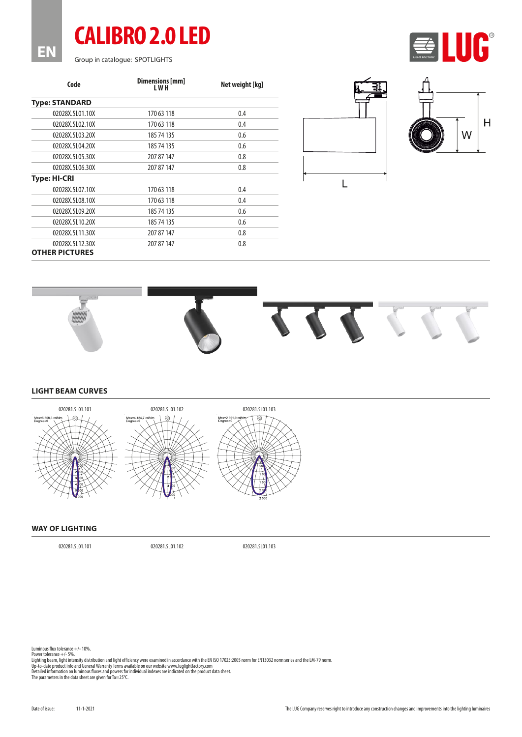Group in catalogue: SPOTLIGHTS

**EN**

**CALIBRO 2.0 LED**

| Code                                     | Dimensions [mm]<br>L W H | Net weight [kg] |  |  |
|------------------------------------------|--------------------------|-----------------|--|--|
| <b>Type: STANDARD</b>                    |                          |                 |  |  |
| 02028X.5L01.10X                          | 170 63 118               | 0.4             |  |  |
| 02028X.5L02.10X                          | 170 63 118               | 0.4             |  |  |
| 02028X.5L03.20X                          | 185 74 135               | 0.6             |  |  |
| 02028X.5L04.20X                          | 185 74 135               | 0.6             |  |  |
| 02028X.5L05.30X                          | 207 87 147               | 0.8             |  |  |
| 02028X.5L06.30X                          | 207 87 147               | 0.8             |  |  |
| Type: HI-CRI                             |                          |                 |  |  |
| 02028X.5L07.10X                          | 170 63 118               | 0.4             |  |  |
| 02028X.5L08.10X                          | 170 63 118               | 0.4             |  |  |
| 02028X.5L09.20X                          | 185 74 135               | 0.6             |  |  |
| 02028X.5L10.20X                          | 185 74 135               | 0.6             |  |  |
| 02028X.5L11.30X                          | 207 87 147               | 0.8             |  |  |
| 02028X.5L12.30X<br><b>OTHER PICTURES</b> | 207 87 147               | 0.8             |  |  |





UC®



**LIGHT BEAM CURVES**



## **WAY OF LIGHTING**

020281.5L01.101 020281.5L01.102 020281.5L01.103

Luminous flux tolerance +/- 10%.

Power tolerance +/- 5%.<br>Lighting beam, light intensity distribution and light efficiency were examined in accordance with the EN ISO 17025:2005 norm for EN13032 norm series and the LM-79 norm.<br>Up-to-date product info and G